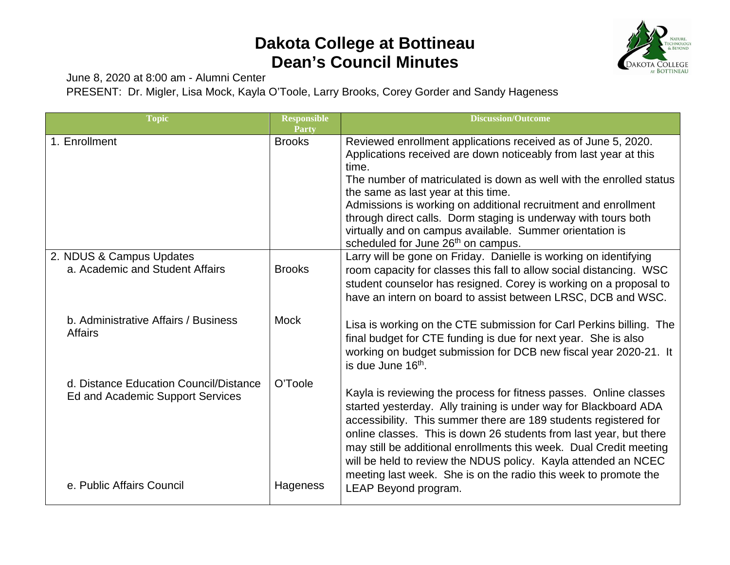## **Dakota College at Bottineau Dean's Council Minutes**



June 8, 2020 at 8:00 am - Alumni Center

PRESENT: Dr. Migler, Lisa Mock, Kayla O'Toole, Larry Brooks, Corey Gorder and Sandy Hageness

| <b>Topic</b>                                                               | <b>Responsible</b><br>Party | <b>Discussion/Outcome</b>                                                                                                                                                                                                                                                                                                                                                                                                                                                                      |
|----------------------------------------------------------------------------|-----------------------------|------------------------------------------------------------------------------------------------------------------------------------------------------------------------------------------------------------------------------------------------------------------------------------------------------------------------------------------------------------------------------------------------------------------------------------------------------------------------------------------------|
| 1. Enrollment                                                              | <b>Brooks</b>               | Reviewed enrollment applications received as of June 5, 2020.<br>Applications received are down noticeably from last year at this<br>time.<br>The number of matriculated is down as well with the enrolled status<br>the same as last year at this time.<br>Admissions is working on additional recruitment and enrollment<br>through direct calls. Dorm staging is underway with tours both<br>virtually and on campus available. Summer orientation is<br>scheduled for June 26th on campus. |
| 2. NDUS & Campus Updates<br>a. Academic and Student Affairs                | <b>Brooks</b>               | Larry will be gone on Friday. Danielle is working on identifying<br>room capacity for classes this fall to allow social distancing. WSC<br>student counselor has resigned. Corey is working on a proposal to<br>have an intern on board to assist between LRSC, DCB and WSC.                                                                                                                                                                                                                   |
| b. Administrative Affairs / Business<br><b>Affairs</b>                     | <b>Mock</b>                 | Lisa is working on the CTE submission for Carl Perkins billing. The<br>final budget for CTE funding is due for next year. She is also<br>working on budget submission for DCB new fiscal year 2020-21. It<br>is due June 16 <sup>th</sup> .                                                                                                                                                                                                                                                    |
| d. Distance Education Council/Distance<br>Ed and Academic Support Services | O'Toole                     | Kayla is reviewing the process for fitness passes. Online classes<br>started yesterday. Ally training is under way for Blackboard ADA<br>accessibility. This summer there are 189 students registered for<br>online classes. This is down 26 students from last year, but there<br>may still be additional enrollments this week. Dual Credit meeting<br>will be held to review the NDUS policy. Kayla attended an NCEC<br>meeting last week. She is on the radio this week to promote the     |
| e. Public Affairs Council                                                  | Hageness                    | <b>LEAP Beyond program.</b>                                                                                                                                                                                                                                                                                                                                                                                                                                                                    |